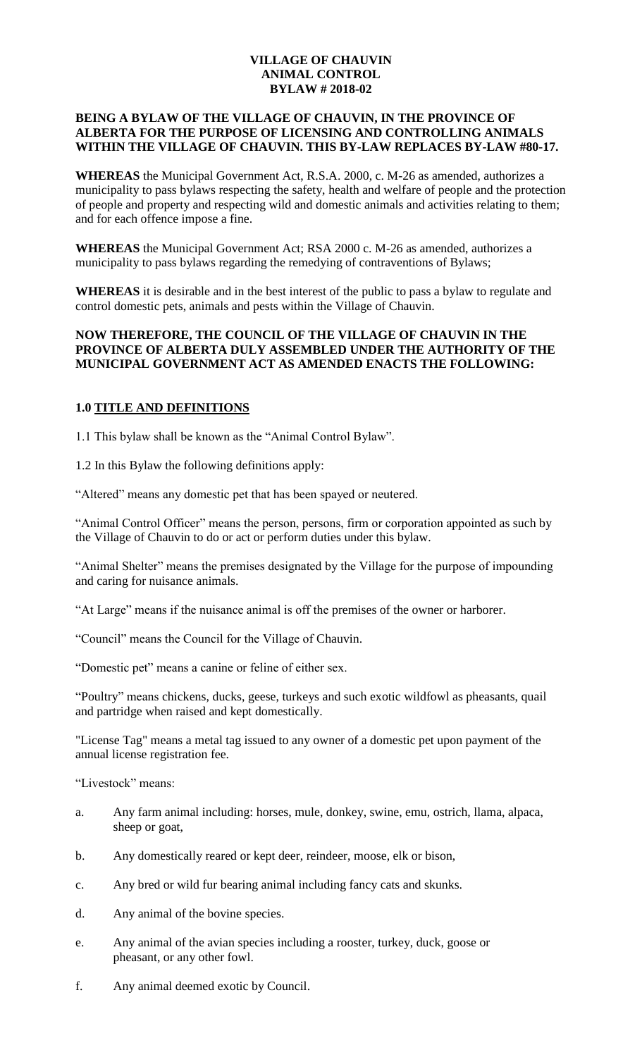### **VILLAGE OF CHAUVIN ANIMAL CONTROL BYLAW # 2018-02**

#### **BEING A BYLAW OF THE VILLAGE OF CHAUVIN, IN THE PROVINCE OF ALBERTA FOR THE PURPOSE OF LICENSING AND CONTROLLING ANIMALS WITHIN THE VILLAGE OF CHAUVIN. THIS BY-LAW REPLACES BY-LAW #80-17.**

**WHEREAS** the Municipal Government Act, R.S.A. 2000, c. M-26 as amended, authorizes a municipality to pass bylaws respecting the safety, health and welfare of people and the protection of people and property and respecting wild and domestic animals and activities relating to them; and for each offence impose a fine.

**WHEREAS** the Municipal Government Act; RSA 2000 c. M-26 as amended, authorizes a municipality to pass bylaws regarding the remedying of contraventions of Bylaws;

**WHEREAS** it is desirable and in the best interest of the public to pass a bylaw to regulate and control domestic pets, animals and pests within the Village of Chauvin.

#### **NOW THEREFORE, THE COUNCIL OF THE VILLAGE OF CHAUVIN IN THE PROVINCE OF ALBERTA DULY ASSEMBLED UNDER THE AUTHORITY OF THE MUNICIPAL GOVERNMENT ACT AS AMENDED ENACTS THE FOLLOWING:**

## **1.0 TITLE AND DEFINITIONS**

1.1 This bylaw shall be known as the "Animal Control Bylaw".

1.2 In this Bylaw the following definitions apply:

"Altered" means any domestic pet that has been spayed or neutered.

"Animal Control Officer" means the person, persons, firm or corporation appointed as such by the Village of Chauvin to do or act or perform duties under this bylaw.

"Animal Shelter" means the premises designated by the Village for the purpose of impounding and caring for nuisance animals.

"At Large" means if the nuisance animal is off the premises of the owner or harborer.

"Council" means the Council for the Village of Chauvin.

"Domestic pet" means a canine or feline of either sex.

"Poultry" means chickens, ducks, geese, turkeys and such exotic wildfowl as pheasants, quail and partridge when raised and kept domestically.

"License Tag" means a metal tag issued to any owner of a domestic pet upon payment of the annual license registration fee.

"Livestock" means:

- a. Any farm animal including: horses, mule, donkey, swine, emu, ostrich, llama, alpaca, sheep or goat,
- b. Any domestically reared or kept deer, reindeer, moose, elk or bison,
- c. Any bred or wild fur bearing animal including fancy cats and skunks.
- d. Any animal of the bovine species.
- e. Any animal of the avian species including a rooster, turkey, duck, goose or pheasant, or any other fowl.
- f. Any animal deemed exotic by Council.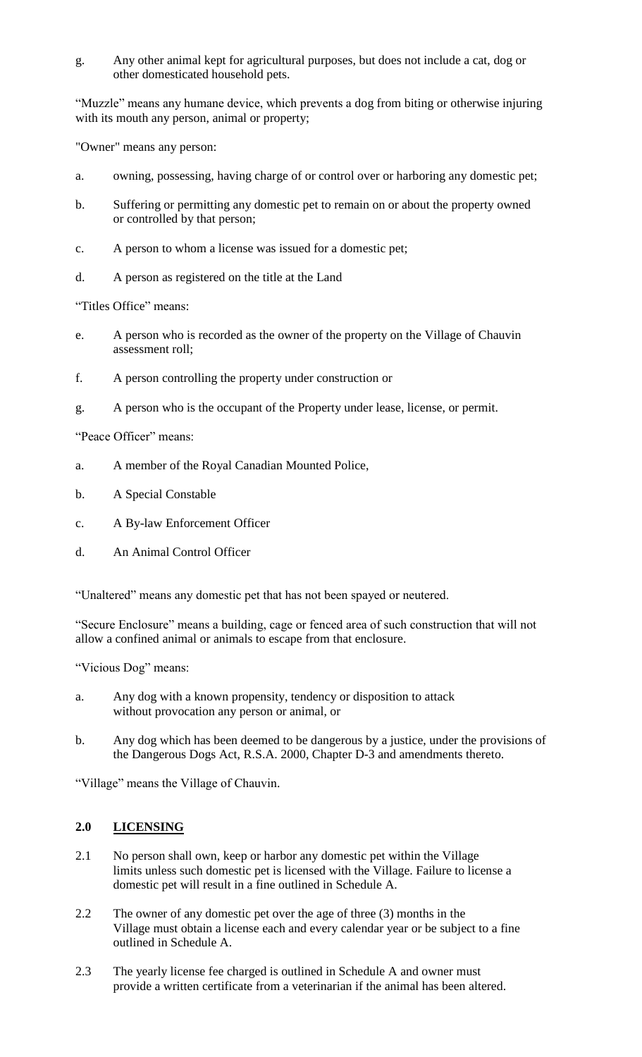g. Any other animal kept for agricultural purposes, but does not include a cat, dog or other domesticated household pets.

"Muzzle" means any humane device, which prevents a dog from biting or otherwise injuring with its mouth any person, animal or property;

"Owner" means any person:

- a. owning, possessing, having charge of or control over or harboring any domestic pet;
- b. Suffering or permitting any domestic pet to remain on or about the property owned or controlled by that person;
- c. A person to whom a license was issued for a domestic pet;
- d. A person as registered on the title at the Land

"Titles Office" means:

- e. A person who is recorded as the owner of the property on the Village of Chauvin assessment roll;
- f. A person controlling the property under construction or
- g. A person who is the occupant of the Property under lease, license, or permit.

"Peace Officer" means:

- a. A member of the Royal Canadian Mounted Police,
- b. A Special Constable
- c. A By-law Enforcement Officer
- d. An Animal Control Officer

"Unaltered" means any domestic pet that has not been spayed or neutered.

"Secure Enclosure" means a building, cage or fenced area of such construction that will not allow a confined animal or animals to escape from that enclosure.

"Vicious Dog" means:

- a. Any dog with a known propensity, tendency or disposition to attack without provocation any person or animal, or
- b. Any dog which has been deemed to be dangerous by a justice, under the provisions of the Dangerous Dogs Act, R.S.A. 2000, Chapter D-3 and amendments thereto.

"Village" means the Village of Chauvin.

## **2.0 LICENSING**

- 2.1 No person shall own, keep or harbor any domestic pet within the Village limits unless such domestic pet is licensed with the Village. Failure to license a domestic pet will result in a fine outlined in Schedule A.
- 2.2 The owner of any domestic pet over the age of three (3) months in the Village must obtain a license each and every calendar year or be subject to a fine outlined in Schedule A.
- 2.3 The yearly license fee charged is outlined in Schedule A and owner must provide a written certificate from a veterinarian if the animal has been altered.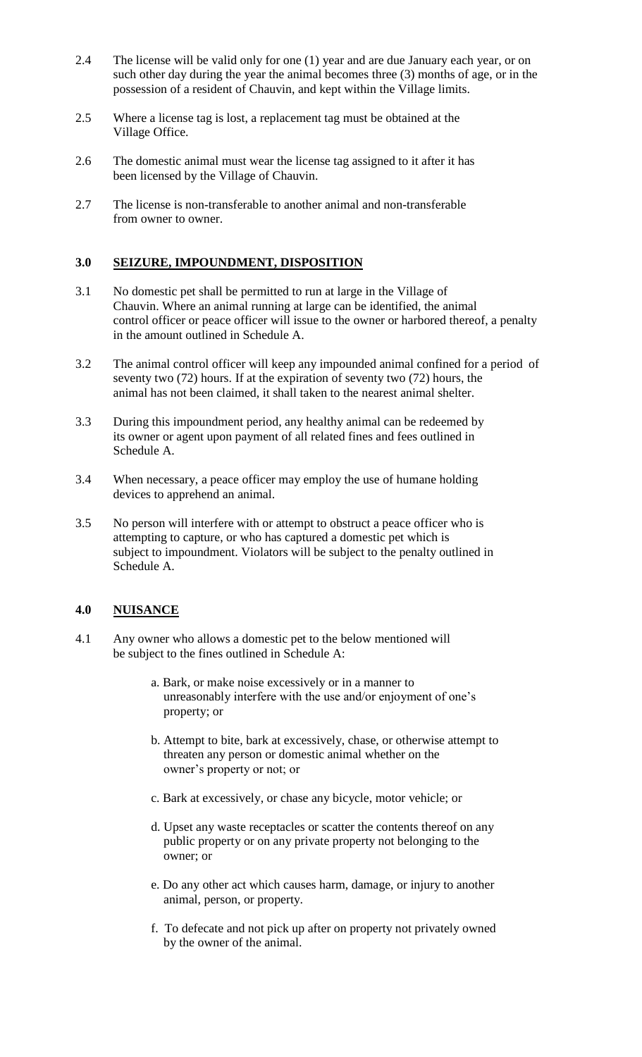- 2.4 The license will be valid only for one (1) year and are due January each year, or on such other day during the year the animal becomes three (3) months of age, or in the possession of a resident of Chauvin, and kept within the Village limits.
- 2.5 Where a license tag is lost, a replacement tag must be obtained at the Village Office.
- 2.6 The domestic animal must wear the license tag assigned to it after it has been licensed by the Village of Chauvin.
- 2.7 The license is non-transferable to another animal and non-transferable from owner to owner.

### **3.0 SEIZURE, IMPOUNDMENT, DISPOSITION**

- 3.1 No domestic pet shall be permitted to run at large in the Village of Chauvin. Where an animal running at large can be identified, the animal control officer or peace officer will issue to the owner or harbored thereof, a penalty in the amount outlined in Schedule A.
- 3.2 The animal control officer will keep any impounded animal confined for a period of seventy two (72) hours. If at the expiration of seventy two (72) hours, the animal has not been claimed, it shall taken to the nearest animal shelter.
- 3.3 During this impoundment period, any healthy animal can be redeemed by its owner or agent upon payment of all related fines and fees outlined in Schedule A.
- 3.4 When necessary, a peace officer may employ the use of humane holding devices to apprehend an animal.
- 3.5 No person will interfere with or attempt to obstruct a peace officer who is attempting to capture, or who has captured a domestic pet which is subject to impoundment. Violators will be subject to the penalty outlined in Schedule A.

#### **4.0 NUISANCE**

- 4.1 Any owner who allows a domestic pet to the below mentioned will be subject to the fines outlined in Schedule A:
	- a. Bark, or make noise excessively or in a manner to unreasonably interfere with the use and/or enjoyment of one's property; or
	- b. Attempt to bite, bark at excessively, chase, or otherwise attempt to threaten any person or domestic animal whether on the owner's property or not; or
	- c. Bark at excessively, or chase any bicycle, motor vehicle; or
	- d. Upset any waste receptacles or scatter the contents thereof on any public property or on any private property not belonging to the owner; or
	- e. Do any other act which causes harm, damage, or injury to another animal, person, or property.
	- f. To defecate and not pick up after on property not privately owned by the owner of the animal.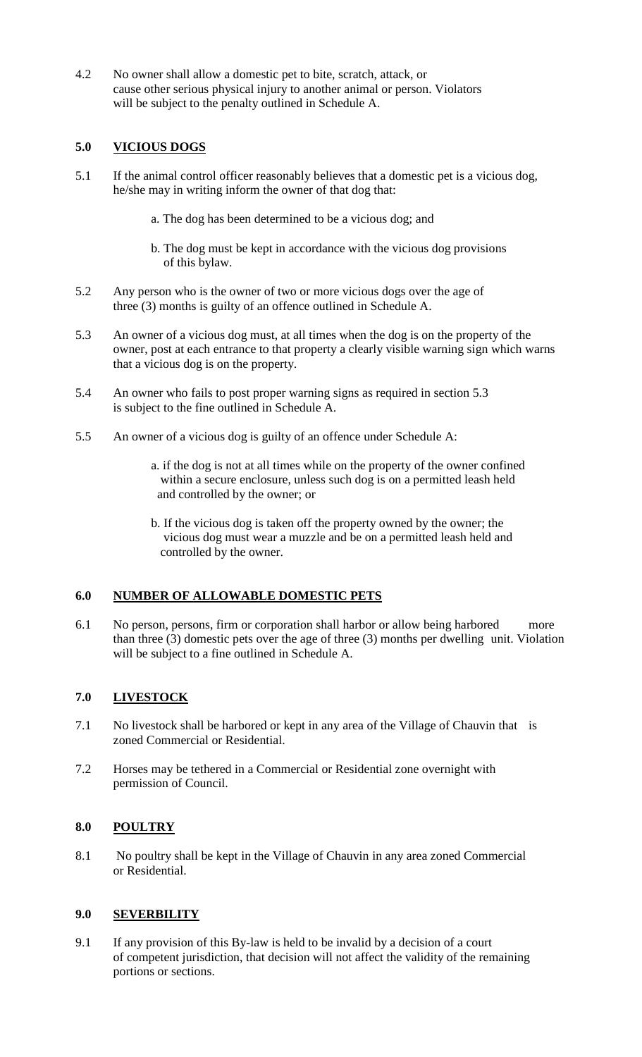4.2 No owner shall allow a domestic pet to bite, scratch, attack, or cause other serious physical injury to another animal or person. Violators will be subject to the penalty outlined in Schedule A.

## **5.0 VICIOUS DOGS**

- 5.1 If the animal control officer reasonably believes that a domestic pet is a vicious dog, he/she may in writing inform the owner of that dog that:
	- a. The dog has been determined to be a vicious dog; and
	- b. The dog must be kept in accordance with the vicious dog provisions of this bylaw.
- 5.2 Any person who is the owner of two or more vicious dogs over the age of three (3) months is guilty of an offence outlined in Schedule A.
- 5.3 An owner of a vicious dog must, at all times when the dog is on the property of the owner, post at each entrance to that property a clearly visible warning sign which warns that a vicious dog is on the property.
- 5.4 An owner who fails to post proper warning signs as required in section 5.3 is subject to the fine outlined in Schedule A.
- 5.5 An owner of a vicious dog is guilty of an offence under Schedule A:
	- a. if the dog is not at all times while on the property of the owner confined within a secure enclosure, unless such dog is on a permitted leash held and controlled by the owner; or
	- b. If the vicious dog is taken off the property owned by the owner; the vicious dog must wear a muzzle and be on a permitted leash held and controlled by the owner.

#### **6.0 NUMBER OF ALLOWABLE DOMESTIC PETS**

6.1 No person, persons, firm or corporation shall harbor or allow being harbored more than three (3) domestic pets over the age of three (3) months per dwelling unit. Violation will be subject to a fine outlined in Schedule A.

## **7.0 LIVESTOCK**

- 7.1 No livestock shall be harbored or kept in any area of the Village of Chauvin that is zoned Commercial or Residential.
- 7.2 Horses may be tethered in a Commercial or Residential zone overnight with permission of Council.

#### **8.0 POULTRY**

8.1 No poultry shall be kept in the Village of Chauvin in any area zoned Commercial or Residential.

#### **9.0 SEVERBILITY**

9.1 If any provision of this By-law is held to be invalid by a decision of a court of competent jurisdiction, that decision will not affect the validity of the remaining portions or sections.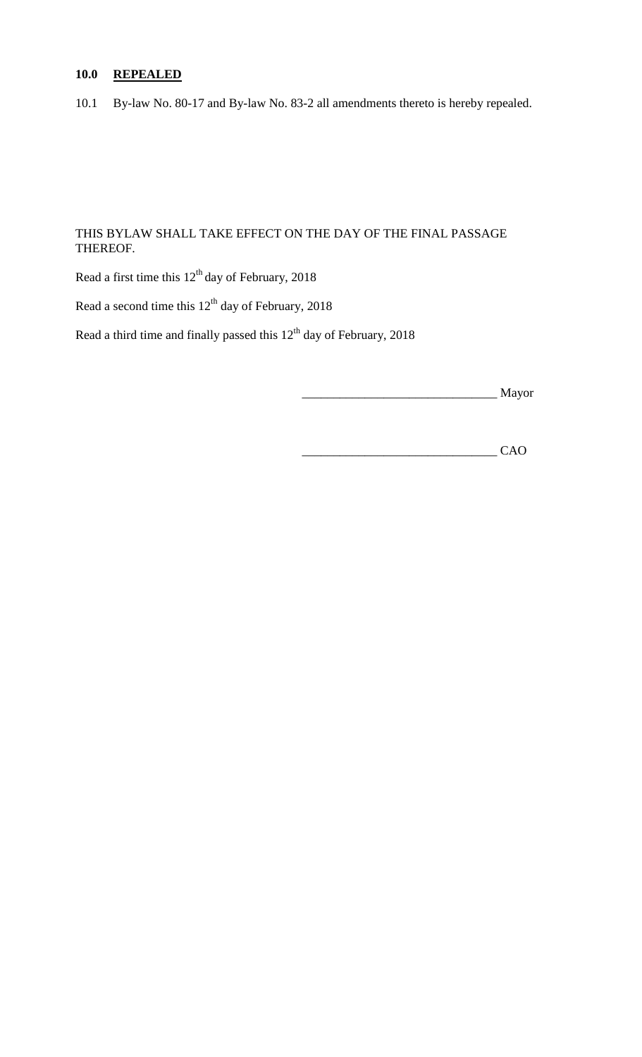# **10.0 REPEALED**

10.1 By-law No. 80-17 and By-law No. 83-2 all amendments thereto is hereby repealed.

## THIS BYLAW SHALL TAKE EFFECT ON THE DAY OF THE FINAL PASSAGE THEREOF.

Read a first time this  $12<sup>th</sup>$  day of February, 2018

Read a second time this  $12<sup>th</sup>$  day of February, 2018

Read a third time and finally passed this  $12<sup>th</sup>$  day of February, 2018

\_\_\_\_\_\_\_\_\_\_\_\_\_\_\_\_\_\_\_\_\_\_\_\_\_\_\_\_\_\_\_ Mayor

\_\_\_\_\_\_\_\_\_\_\_\_\_\_\_\_\_\_\_\_\_\_\_\_\_\_\_\_\_\_\_ CAO